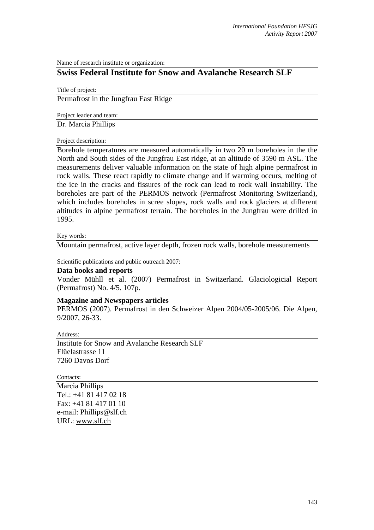Name of research institute or organization:

## **Swiss Federal Institute for Snow and Avalanche Research SLF**

Title of project:

Permafrost in the Jungfrau East Ridge

Project leader and team:

Dr. Marcia Phillips

Project description:

Borehole temperatures are measured automatically in two 20 m boreholes in the the North and South sides of the Jungfrau East ridge, at an altitude of 3590 m ASL. The measurements deliver valuable information on the state of high alpine permafrost in rock walls. These react rapidly to climate change and if warming occurs, melting of the ice in the cracks and fissures of the rock can lead to rock wall instability. The boreholes are part of the PERMOS network (Permafrost Monitoring Switzerland), which includes boreholes in scree slopes, rock walls and rock glaciers at different altitudes in alpine permafrost terrain. The boreholes in the Jungfrau were drilled in 1995.

Key words:

Mountain permafrost, active layer depth, frozen rock walls, borehole measurements

Scientific publications and public outreach 2007:

## **Data books and reports**

Vonder Mühll et al. (2007) Permafrost in Switzerland. Glaciologicial Report (Permafrost) No. 4/5. 107p.

## **Magazine and Newspapers articles**

PERMOS (2007). Permafrost in den Schweizer Alpen 2004/05-2005/06. Die Alpen, 9/2007, 26-33.

Address:

Institute for Snow and Avalanche Research SLF Flüelastrasse 11 7260 Davos Dorf

Contacts:

Marcia Phillips Tel.: +41 81 417 02 18 Fax: +41 81 417 01 10 e-mail: Phillips@slf.ch URL: www.slf.ch